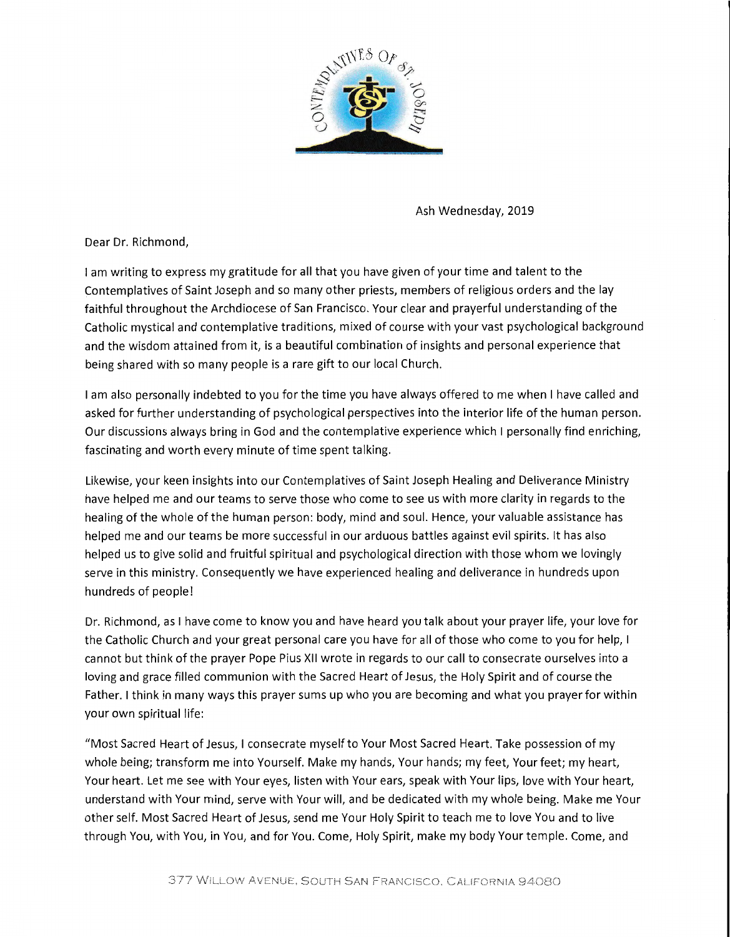

Ash Wednesday, 2019

Dear Dr. Richmond,

I am writing to express my gratitude for all that you have given of your time and talent to the Contemplatives of Saint Joseph and so many other priests, members of religious orders and the lay faithful throughout the Archdiocese of San Francisco. Your clear and prayerful understanding of the Catholic mystical and contemplative traditions, mixed of course with your vast psychological background and the wisdom attained from it, is a beautiful combination of insights and personal experience that being shared with so many people is a rare gift to our local Church.

I am also personally indebted to you for the time you have always offered to me when I have called and asked for further understanding of psychological perspectives into the interior life of the human person. Our discussions always bring in God and the contemplative experience which I personally find enriching, fascinating and worth every minute of time spent talking.

Likewise, your keen insights into our Contemplatives of Saint Joseph Healing and Deliverance Ministry have helped me and our teams to serve those who come to see us with more clarity in regards to the healing of the whole of the human person: body, mind and soul. Hence, your valuable assistance has helped me and our teams be more successful in our arduous battles against evil spirits. It has also helped us to give solid and fruitful spiritual and psychological direction with those whom we lovingly serve in this ministry. Consequently we have experienced healing and deliverance in hundreds upon hundreds of people!

Dr. Richmond, as I have come to know you and have heard you talk about your prayer life, your love for the Catholic Church and your great personal care you have for all of those who come to you for help, I cannot but think of the prayer Pope Pius XII wrote in regards to our call to consecrate ourselves into a loving and grace filled communion with the Sacred Heart of Jesus, the Holy Spirit and of course the Father. I think in many ways this prayer sums up who you are becoming and what you prayer for within your own spiritual life:

"Most Sacred Heart of Jesus, I consecrate myself to Your Most Sacred Heart. Take possession of my whole being; transform me into Yourself. Make my hands, Your hands; my feet, Your feet; my heart, Your heart. Let me see with Your eyes, listen with Your ears, speak with Your lips, love with Your heart, understand with Your mind, serve with Your will, and be dedicated with my whole being. Make me Your other self. Most Sacred Heart of Jesus, send me Your Holy Spirit to teach me to love You and to live through You, with You, in You, and for You. Come, Holy Spirit, make my body Your temple. Come, and